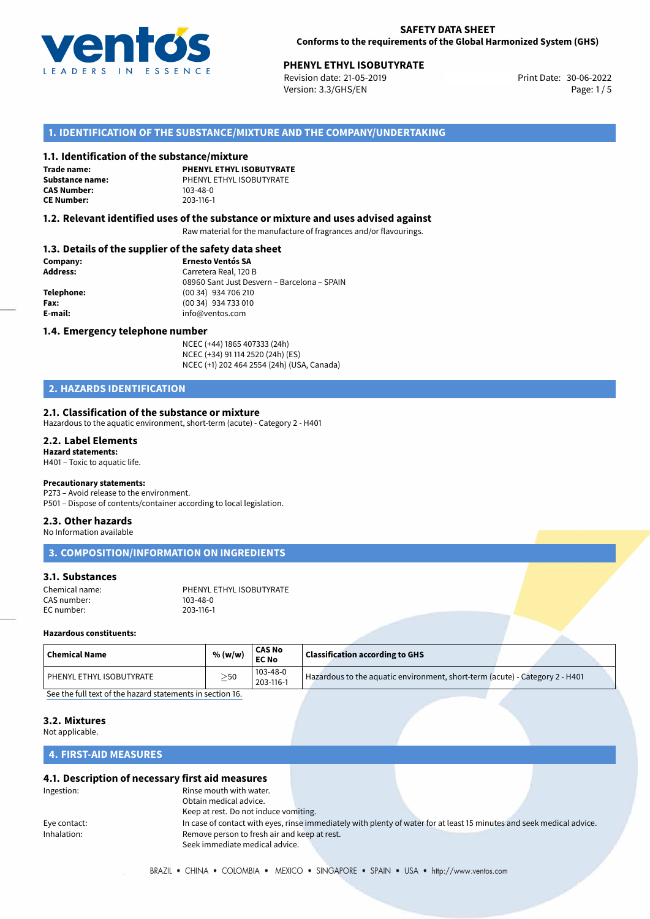

# **PHENYL ETHYL ISOBUTYRATE**<br>30-06-2022 **Print Date: 21-05-2019** Print Date: 30-06-2022

Revision date: 21-05-2019 Version: 3.3/GHS/EN Page: 1/5

## **1. IDENTIFICATION OF THE SUBSTANCE/MIXTURE AND THE COMPANY/UNDERTAKING**

### **1.1. Identification of the substance/mixture**

**Trade name: CAS Number: CE Number:** 203-116-1

**PHENYL ETHYL ISOBUTYRATE Substance name:** PHENYL ETHYL ISOBUTYRATE

### **1.2. Relevant identified uses of the substance or mixture and uses advised against**

Raw material for the manufacture of fragrances and/or flavourings.

## **1.3. Details of the supplier of the safety data sheet**

| Company:        | <b>Ernesto Ventós SA</b>                    |
|-----------------|---------------------------------------------|
| <b>Address:</b> | Carretera Real, 120 B                       |
|                 | 08960 Sant Just Desvern - Barcelona - SPAIN |
| Telephone:      | (00 34) 934 706 210                         |
| Fax:            | (00 34) 934 733 010                         |
| E-mail:         | info@ventos.com                             |
|                 |                                             |

### **1.4. Emergency telephone number**

NCEC (+44) 1865 407333 (24h) NCEC (+34) 91 114 2520 (24h) (ES) NCEC (+1) 202 464 2554 (24h) (USA, Canada)

# **2. HAZARDS IDENTIFICATION**

### **2.1. Classification of the substance or mixture**

Hazardous to the aquatic environment, short-term (acute) - Category 2 - H401

#### **2.2. Label Elements Hazard statements:**

H401 – Toxic to aquatic life.

### **Precautionary statements:**

P273 – Avoid release to the environment.

# P501 – Dispose of contents/container according to local legislation.

# **2.3. Other hazards**

No Information available

**3. COMPOSITION/INFORMATION ON INGREDIENTS**

## **3.1. Substances**

| Chemical name: | PHENYL ETHYL ISOBUTYRATE |
|----------------|--------------------------|
| CAS number:    | 103-48-0                 |
| EC number:     | 203-116-1                |

### **Hazardous constituents:**

| <b>Chemical Name</b>     | % (w/w)   | <b>CAS No</b><br><b>EC No</b> | <b>Classification according to GHS</b>                                       |  |
|--------------------------|-----------|-------------------------------|------------------------------------------------------------------------------|--|
| PHENYL ETHYL ISOBUTYRATE | $\geq$ 50 | 103-48-0<br>203-116-1         | Hazardous to the aquatic environment, short-term (acute) - Category 2 - H401 |  |

[See the full text of the hazard statements in section 16.](#page--1-0)

### **3.2. Mixtures**

Not applicable.

# **4. FIRST-AID MEASURES**

### **4.1. Description of necessary first aid measures**

| Ingestion:   | Rinse mouth with water.                      |                                                                                                                       |  |
|--------------|----------------------------------------------|-----------------------------------------------------------------------------------------------------------------------|--|
|              | Obtain medical advice.                       |                                                                                                                       |  |
|              | Keep at rest. Do not induce vomiting.        |                                                                                                                       |  |
| Eye contact: |                                              | In case of contact with eyes, rinse immediately with plenty of water for at least 15 minutes and seek medical advice. |  |
| Inhalation:  | Remove person to fresh air and keep at rest. |                                                                                                                       |  |
|              | Seek immediate medical advice.               |                                                                                                                       |  |
|              |                                              |                                                                                                                       |  |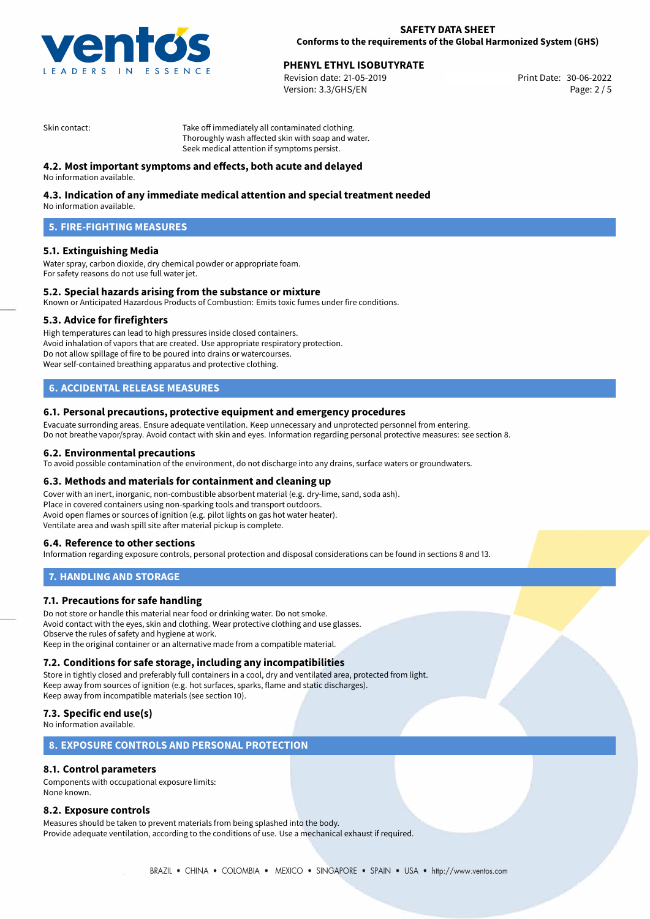

# **PHENYL ETHYL ISOBUTYRATE**<br>30-06-2022 **Print Date: 21-05-2019** Print Date: 30-06-2022

Revision date: 21-05-2019 Version: 3.3/GHS/EN Page: 2 / 5

Skin contact: Take off immediately all contaminated clothing. Thoroughly wash affected skin with soap and water. Seek medical attention if symptoms persist.

## **4.2. Most important symptoms and effects, both acute and delayed**

No information available.

## **4.3. Indication of any immediate medical attention and special treatment needed**

No information available.

# **5. FIRE-FIGHTING MEASURES**

## **5.1. Extinguishing Media**

Water spray, carbon dioxide, dry chemical powder or appropriate foam. For safety reasons do not use full water jet.

### **5.2. Special hazards arising from the substance or mixture**

Known or Anticipated Hazardous Products of Combustion: Emits toxic fumes under fire conditions.

### **5.3. Advice for firefighters**

High temperatures can lead to high pressures inside closed containers. Avoid inhalation of vapors that are created. Use appropriate respiratory protection. Do not allow spillage of fire to be poured into drains or watercourses. Wear self-contained breathing apparatus and protective clothing.

# **6. ACCIDENTAL RELEASE MEASURES**

### **6.1. Personal precautions, protective equipment and emergency procedures**

Evacuate surronding areas. Ensure adequate ventilation. Keep unnecessary and unprotected personnel from entering. Do not breathe vapor/spray. Avoid contact with skin and eyes. Information regarding personal protective measures: see section 8.

### **6.2. Environmental precautions**

To avoid possible contamination of the environment, do not discharge into any drains, surface waters or groundwaters.

### **6.3. Methods and materials for containment and cleaning up**

Cover with an inert, inorganic, non-combustible absorbent material (e.g. dry-lime, sand, soda ash). Place in covered containers using non-sparking tools and transport outdoors. Avoid open flames or sources of ignition (e.g. pilot lights on gas hot water heater). Ventilate area and wash spill site after material pickup is complete.

### **6.4. Reference to other sections**

Information regarding exposure controls, personal protection and disposal considerations can be found in sections 8 and 13.

### **7. HANDLING AND STORAGE**

### **7.1. Precautions for safe handling**

Do not store or handle this material near food or drinking water. Do not smoke. Avoid contact with the eyes, skin and clothing. Wear protective clothing and use glasses. Observe the rules of safety and hygiene at work. Keep in the original container or an alternative made from a compatible material.

### **7.2. Conditions for safe storage, including any incompatibilities**

Store in tightly closed and preferably full containers in a cool, dry and ventilated area, protected from light. Keep away from sources of ignition (e.g. hot surfaces, sparks, flame and static discharges). Keep away from incompatible materials (see section 10).

## **7.3. Specific end use(s)**

No information available.

## **8. EXPOSURE CONTROLS AND PERSONAL PROTECTION**

## **8.1. Control parameters**

Components with occupational exposure limits: None known.

### **8.2. Exposure controls**

Measures should be taken to prevent materials from being splashed into the body. Provide adequate ventilation, according to the conditions of use. Use a mechanical exhaust if required.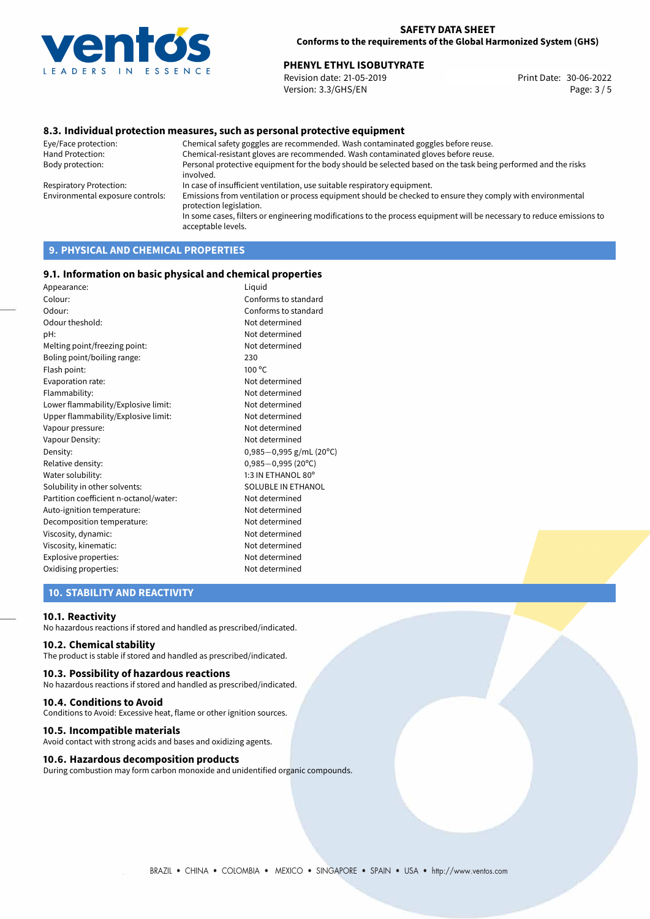

# **PHENYL ETHYL ISOBUTYRATE**<br>30-06-2022 Revision date: 21-05-2019

Revision date: 21-05-2019 Version: 3.3/GHS/EN Page: 3 / 5

## **8.3. Individual protection measures, such as personal protective equipment**

Eye/Face protection: Chemical safety goggles are recommended. Wash contaminated goggles before reuse. Chemical-resistant gloves are recommended. Wash contaminated gloves before reuse. Body protection: Personal protective equipment for the body should be selected based on the task being performed and the risks involved. Respiratory Protection: In case of insufficient ventilation, use suitable respiratory equipment. Environmental exposure controls: Emissions from ventilation or process equipment should be checked to ensure they comply with environmental protection legislation. In some cases, filters or engineering modifications to the process equipment will be necessary to reduce emissions to acceptable levels.

# **9. PHYSICAL AND CHEMICAL PROPERTIES**

### **9.1. Information on basic physical and chemical properties**

| Appearance:                            | Liquid                    |
|----------------------------------------|---------------------------|
| Colour:                                | Conforms to standard      |
| Odour:                                 | Conforms to standard      |
| Odour theshold:                        | Not determined            |
| pH:                                    | Not determined            |
| Melting point/freezing point:          | Not determined            |
| Boling point/boiling range:            | 230                       |
| Flash point:                           | $100^{\circ}$ C           |
| Evaporation rate:                      | Not determined            |
| Flammability:                          | Not determined            |
| Lower flammability/Explosive limit:    | Not determined            |
| Upper flammability/Explosive limit:    | Not determined            |
| Vapour pressure:                       | Not determined            |
| Vapour Density:                        | Not determined            |
| Density:                               | $0,985-0,995$ g/mL (20°C) |
| Relative density:                      | $0,985 - 0,995$ (20°C)    |
| Water solubility:                      | 1:3 IN ETHANOL 80°        |
| Solubility in other solvents:          | SOLUBLE IN ETHANOL        |
| Partition coefficient n-octanol/water: | Not determined            |
| Auto-ignition temperature:             | Not determined            |
| Decomposition temperature:             | Not determined            |
| Viscosity, dynamic:                    | Not determined            |
| Viscosity, kinematic:                  | Not determined            |
| Explosive properties:                  | Not determined            |
| Oxidising properties:                  | Not determined            |

## **10. STABILITY AND REACTIVITY**

### **10.1. Reactivity**

No hazardous reactions if stored and handled as prescribed/indicated.

### **10.2. Chemical stability**

The product is stable if stored and handled as prescribed/indicated.

### **10.3. Possibility of hazardous reactions**

No hazardous reactions if stored and handled as prescribed/indicated.

#### **10.4. Conditions to Avoid**

Conditions to Avoid: Excessive heat, flame or other ignition sources.

### **10.5. Incompatible materials**

Avoid contact with strong acids and bases and oxidizing agents.

### **10.6. Hazardous decomposition products**

During combustion may form carbon monoxide and unidentified organic compounds.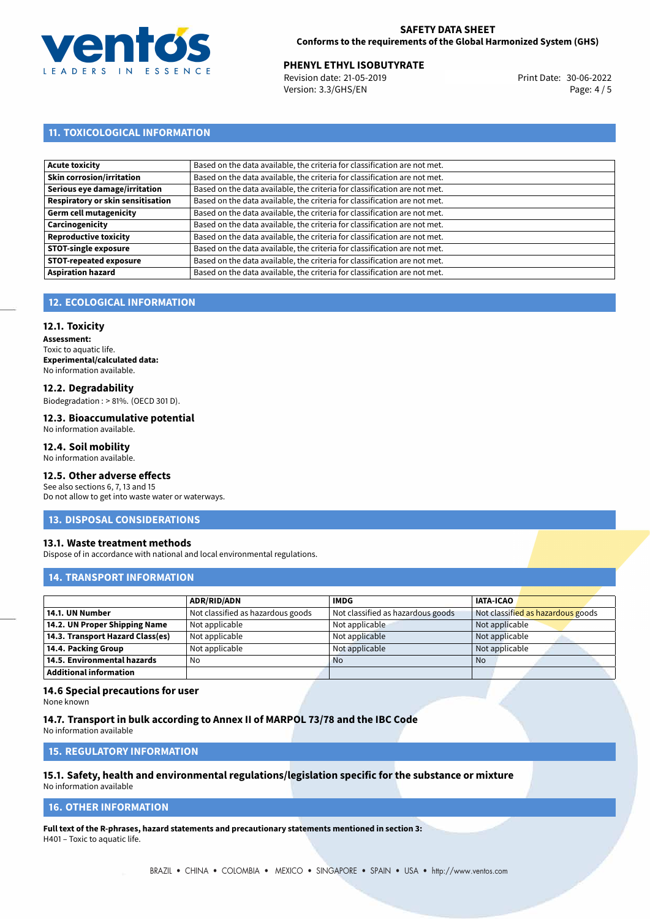

## **SAFETY DATA SHEET Conforms to the requirements of the Global Harmonized System (GHS)**

# **PHENYL ETHYL ISOBUTYRATE**<br>30-06-2022 Revision date: 21-05-2019

Revision date: 21-05-2019 Version: 3.3/GHS/EN Page: 4/5

# **11. TOXICOLOGICAL INFORMATION**

| Based on the data available, the criteria for classification are not met. |
|---------------------------------------------------------------------------|
| Based on the data available, the criteria for classification are not met. |
| Based on the data available, the criteria for classification are not met. |
| Based on the data available, the criteria for classification are not met. |
| Based on the data available, the criteria for classification are not met. |
| Based on the data available, the criteria for classification are not met. |
| Based on the data available, the criteria for classification are not met. |
| Based on the data available, the criteria for classification are not met. |
| Based on the data available, the criteria for classification are not met. |
| Based on the data available, the criteria for classification are not met. |
|                                                                           |

# **12. ECOLOGICAL INFORMATION**

### **12.1. Toxicity**

**Assessment:** Toxic to aquatic life. **Experimental/calculated data:** No information available.

### **12.2. Degradability**

Biodegradation : > 81%. (OECD 301 D).

#### **12.3. Bioaccumulative potential** No information available.

## **12.4. Soil mobility**

No information available.

## **12.5. Other adverse effects**

See also sections 6, 7, 13 and 15 Do not allow to get into waste water or waterways.

### **13. DISPOSAL CONSIDERATIONS**

### **13.1. Waste treatment methods**

Dispose of in accordance with national and local environmental regulations.

# **14. TRANSPORT INFORMATION**

|                                  | <b>ADR/RID/ADN</b>                | <b>IMDG</b>                       | <b>IATA-ICAO</b>                  |
|----------------------------------|-----------------------------------|-----------------------------------|-----------------------------------|
| 14.1. UN Number                  | Not classified as hazardous goods | Not classified as hazardous goods | Not classified as hazardous goods |
| 14.2. UN Proper Shipping Name    | Not applicable                    | Not applicable                    | Not applicable                    |
| 14.3. Transport Hazard Class(es) | Not applicable                    | Not applicable                    | Not applicable                    |
| 14.4. Packing Group              | Not applicable                    | Not applicable                    | Not applicable                    |
| 14.5. Environmental hazards      | No                                | <b>No</b>                         | No.                               |
| Additional information           |                                   |                                   |                                   |

# **14.6 Special precautions for user**

None known

### **14.7. Transport in bulk according to Annex II of MARPOL 73/78 and the IBC Code**

No information available

## **15. REGULATORY INFORMATION**

### **15.1. Safety, health and environmental regulations/legislation specific for the substance or mixture** No information available

### **16. OTHER INFORMATION**

**Full text of the R-phrases, hazard statements and precautionary statements mentioned in section 3:** H401 – Toxic to aquatic life.